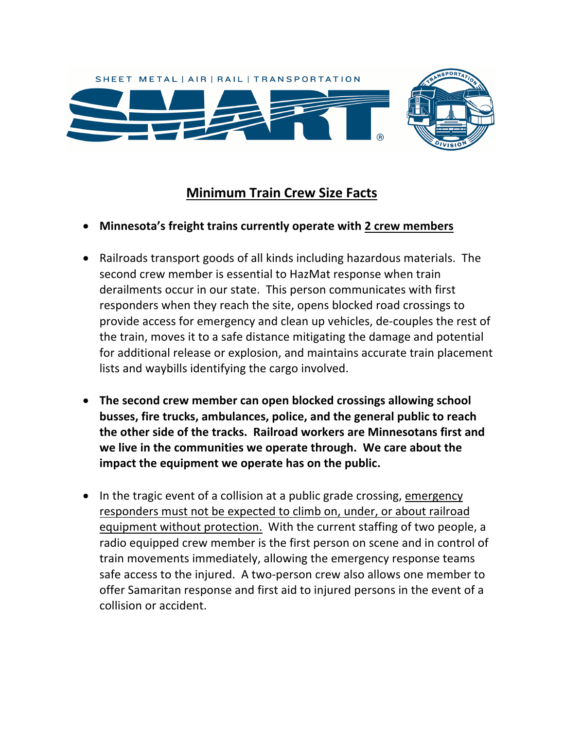

## **Minimum Train Crew Size Facts**

- **Minnesota's freight trains currently operate with 2 crew members**
- Railroads transport goods of all kinds including hazardous materials. The second crew member is essential to HazMat response when train derailments occur in our state. This person communicates with first responders when they reach the site, opens blocked road crossings to provide access for emergency and clean up vehicles, de-couples the rest of the train, moves it to a safe distance mitigating the damage and potential for additional release or explosion, and maintains accurate train placement lists and waybills identifying the cargo involved.
- **The second crew member can open blocked crossings allowing school busses, fire trucks, ambulances, police, and the general public to reach the other side of the tracks. Railroad workers are Minnesotans first and we live in the communities we operate through. We care about the impact the equipment we operate has on the public.**
- In the tragic event of a collision at a public grade crossing, emergency responders must not be expected to climb on, under, or about railroad equipment without protection. With the current staffing of two people, a radio equipped crew member is the first person on scene and in control of train movements immediately, allowing the emergency response teams safe access to the injured. A two-person crew also allows one member to offer Samaritan response and first aid to injured persons in the event of a collision or accident.